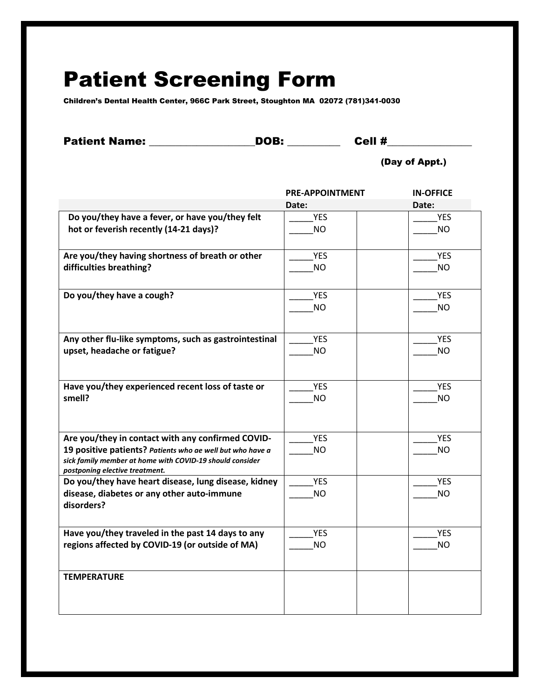# Patient Screening Form

Children's Dental Health Center, 966C Park Street, Stoughton MA 02072 (781)341-0030

| <b>Patient Name:</b> | DOB: | Cell # |  |
|----------------------|------|--------|--|
|                      |      |        |  |

(Day of Appt.)

|                                                           | <b>PRE-APPOINTMENT</b> | <b>IN-OFFICE</b> |
|-----------------------------------------------------------|------------------------|------------------|
|                                                           | Date:                  | Date:            |
| Do you/they have a fever, or have you/they felt           | <b>YES</b>             | <b>YES</b>       |
| hot or feverish recently (14-21 days)?                    | <b>NO</b>              | <b>NO</b>        |
|                                                           |                        |                  |
| Are you/they having shortness of breath or other          | <b>YES</b>             | <b>YES</b>       |
| difficulties breathing?                                   | <b>NO</b>              | <b>NO</b>        |
|                                                           |                        |                  |
| Do you/they have a cough?                                 | <b>YES</b>             | <b>YES</b>       |
|                                                           | <b>NO</b>              | <b>NO</b>        |
|                                                           |                        |                  |
|                                                           |                        |                  |
| Any other flu-like symptoms, such as gastrointestinal     | <b>YES</b>             | <b>YES</b>       |
| upset, headache or fatigue?                               | <b>NO</b>              | NO.              |
|                                                           |                        |                  |
| Have you/they experienced recent loss of taste or         | <b>YES</b>             | <b>YES</b>       |
| smell?                                                    | <b>NO</b>              | <b>NO</b>        |
|                                                           |                        |                  |
|                                                           |                        |                  |
| Are you/they in contact with any confirmed COVID-         | <b>YES</b>             | <b>YES</b>       |
| 19 positive patients? Patients who ae well but who have a | <b>NO</b>              | <b>NO</b>        |
| sick family member at home with COVID-19 should consider  |                        |                  |
| postponing elective treatment.                            |                        |                  |
| Do you/they have heart disease, lung disease, kidney      | <b>YES</b>             | <b>YES</b>       |
| disease, diabetes or any other auto-immune                | <b>NO</b>              | <b>NO</b>        |
| disorders?                                                |                        |                  |
|                                                           |                        |                  |
| Have you/they traveled in the past 14 days to any         | <b>YES</b>             | <b>YES</b>       |
| regions affected by COVID-19 (or outside of MA)           | <b>NO</b>              | <b>NO</b>        |
|                                                           |                        |                  |
|                                                           |                        |                  |
| <b>TEMPERATURE</b>                                        |                        |                  |
|                                                           |                        |                  |
|                                                           |                        |                  |